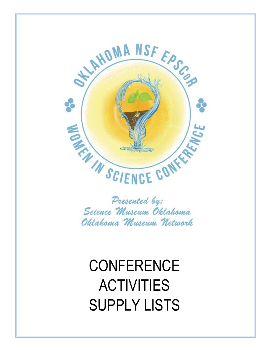

Presented by: Science Museum Oklahoma Oklahoma Museum Network

**CONFERENCE** ACTIVITIES SUPPLY LISTS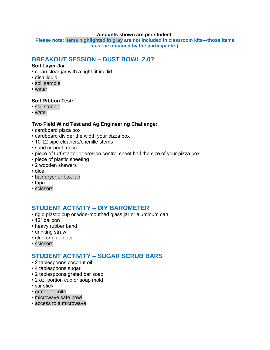#### **Amounts shown are per student.**

**Please note: Items highlighted in gray are not included in classroom kits—those items must be obtained by the participant(s).**

### **BREAKOUT SESSION – DUST BOWL 2.0?**

#### **Soil Layer Jar**:

- clean clear jar with a tight fitting lid
- dish liquid
- soil sample
- water

#### **Soil Ribbon Test:**

- soil sample
- water

### **Two Field Wind Test and Ag Engineering Challenge:**

- cardboard pizza box
- cardboard divider the width your pizza box
- 10-12 pipe cleaners/chenille stems
- sand or peat moss
- piece of turf starter or erosion control sheet half the size of your pizza box
- piece of plastic sheeting
- 2 wooden skewers
- dice
- hair dryer or box fan
- tape
- scissors

### **STUDENT ACTIVITY – DIY BAROMETER**

- rigid plastic cup or wide-mouthed glass jar or aluminum can
- 12" balloon
- heavy rubber band
- drinking straw
- glue or glue dots
- scissors

### **STUDENT ACTIVITY – SUGAR SCRUB BARS**

- 2 tablespoons coconut oil
- 4 tablespoons sugar
- 2 tablespoons grated bar soap
- 2 oz. portion cup or soap mold
- stir stick
- grater or knife
- microwave safe bowl
- access to a microwave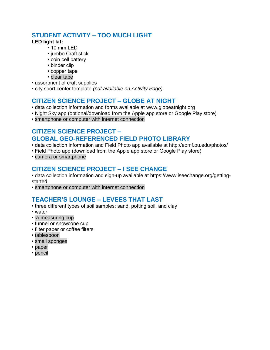# **STUDENT ACTIVITY – TOO MUCH LIGHT**

### **LED light kit:**

- 10 mm LED
- jumbo Craft stick
- coin cell battery
- binder clip
- copper tape
- clear tape
- assortment of craft supplies
- city sport center template *(pdf available on Activity Page)*

### **CITIZEN SCIENCE PROJECT – GLOBE AT NIGHT**

- data collection information and forms available at www.globeatnight.org
- Night Sky app (optional/download from the Apple app store or Google Play store)
- smartphone or computer with internet connection

# **CITIZEN SCIENCE PROJECT – GLOBAL GEO-REFERENCED FIELD PHOTO LIBRARY**

- data collection information and Field Photo app available at http://eomf.ou.edu/photos/
- Field Photo app (download from the Apple app store or Google Play store)
- camera or smartphone

### **CITIZEN SCIENCE PROJECT – I SEE CHANGE**

- data collection information and sign-up available at https://www.iseechange.org/gettingstarted
- smartphone or computer with internet connection

# **TEACHER'S LOUNGE – LEVEES THAT LAST**

- three different types of soil samples: sand, potting soil, and clay
- water
- ½ measuring cup
- funnel or snowcone cup
- filter paper or coffee filters
- tablespoon
- small sponges
- paper
- pencil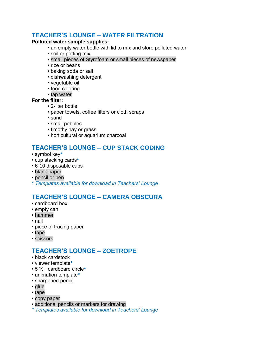## **TEACHER'S LOUNGE – WATER FILTRATION**

### **Polluted water sample supplies:**

- an empty water bottle with lid to mix and store polluted water
- soil or potting mix
- small pieces of Styrofoam or small pieces of newspaper
- rice or beans
- baking soda or salt
- dishwashing detergent
- vegetable oil
- food coloring
- tap water

### **For the filter:**

- 2-liter bottle
- paper towels, coffee filters or cloth scraps
- sand
- small pebbles
- timothy hay or grass
- horticultural or aquarium charcoal

# **TEACHER'S LOUNGE – CUP STACK CODING**

- symbol key**\***
- cup stacking cards**\***
- 6-10 disposable cups
- blank paper
- pencil or pen
- \* *Templates available for download in Teachers' Lounge*

## **TEACHER'S LOUNGE – CAMERA OBSCURA**

- cardboard box
- empty can
- hammer
- nail
- piece of tracing paper
- tape
- scissors

## **TEACHER'S LOUNGE – ZOETROPE**

- black cardstock
- viewer template**\***
- 5 ½ " cardboard circle**\***
- animation template**\***
- sharpened pencil
- glue
- tape
- copy paper
- additional pencils or markers for drawing
- *\* Templates available for download in Teachers' Lounge*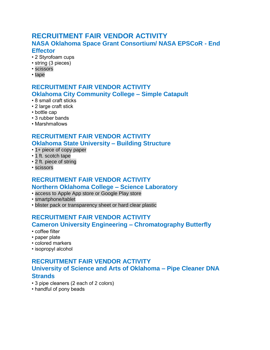# **RECRUITMENT FAIR VENDOR ACTIVITY NASA Oklahoma Space Grant Consortium/ NASA EPSCoR - End Effector**

- 2 Styrofoam cups
- string (3 pieces)
- scissors
- tape

# **RECRUITMENT FAIR VENDOR ACTIVITY Oklahoma City Community College – Simple Catapult**

- 8 small craft sticks
- 2 large craft stick
- bottle cap
- 3 rubber bands
- Marshmallows

# **RECRUITMENT FAIR VENDOR ACTIVITY Oklahoma State University – Building Structure**

- 1+ piece of copy paper
- 1 ft. scotch tape
- 2 ft. piece of string
- scissors

### **RECRUITMENT FAIR VENDOR ACTIVITY Northern Oklahoma College – Science Laboratory**

- access to Apple App store or Google Play store
- smartphone/tablet
- blister pack or transparency sheet or hard clear plastic

### **RECRUITMENT FAIR VENDOR ACTIVITY Cameron University Engineering – Chromatography Butterfly**

- coffee filter
- paper plate
- colored markers
- isopropyl alcohol

# **RECRUITMENT FAIR VENDOR ACTIVITY University of Science and Arts of Oklahoma – Pipe Cleaner DNA Strands**

- 3 pipe cleaners (2 each of 2 colors)
- handful of pony beads